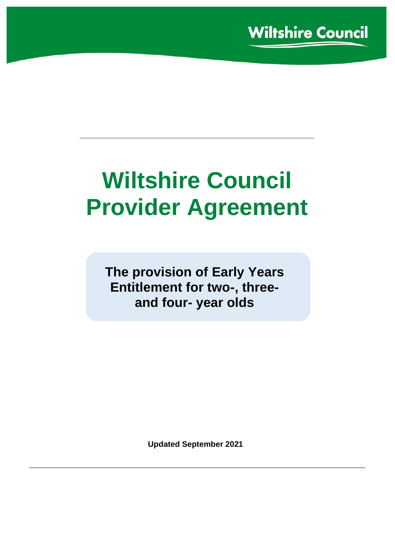# **Wiltshire Council Provider Agreement**

**\_\_\_\_\_\_\_\_\_\_\_\_\_\_\_\_\_\_\_\_\_\_\_\_\_\_\_\_\_\_\_\_\_\_\_\_\_\_\_\_\_\_\_\_\_\_\_\_\_\_\_\_\_**

**The provision of Early Years Entitlement for two-, threeand four- year olds**

**Updated September 2021**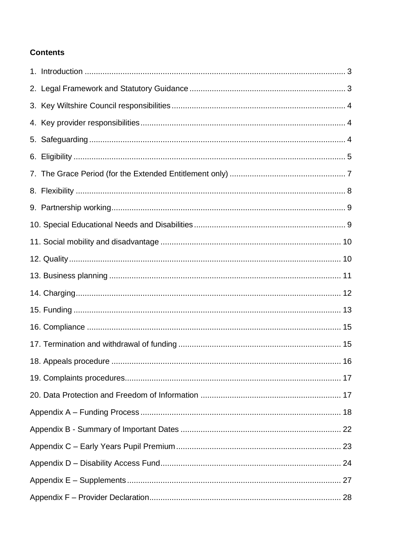## **Contents**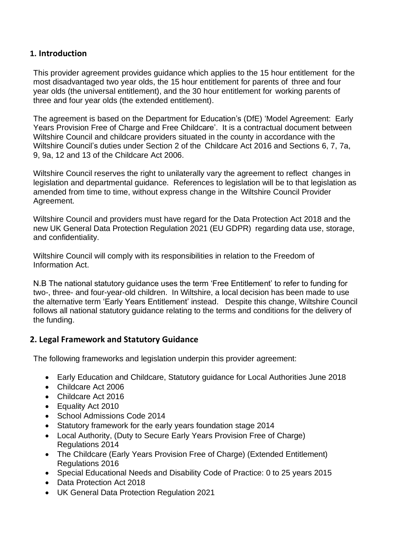## <span id="page-2-0"></span>**1. Introduction**

This provider agreement provides guidance which applies to the 15 hour entitlement for the most disadvantaged two year olds, the 15 hour entitlement for parents of three and four year olds (the universal entitlement), and the 30 hour entitlement for working parents of three and four year olds (the extended entitlement).

The agreement is based on the Department for Education's (DfE) 'Model Agreement: Early Years Provision Free of Charge and Free Childcare'. It is a contractual document between Wiltshire Council and childcare providers situated in the county in accordance with the Wiltshire Council's duties under Section 2 of the Childcare Act 2016 and Sections 6, 7, 7a, 9, 9a, 12 and 13 of the Childcare Act 2006.

Wiltshire Council reserves the right to unilaterally vary the agreement to reflect changes in legislation and departmental guidance. References to legislation will be to that legislation as amended from time to time, without express change in the Wiltshire Council Provider Agreement.

Wiltshire Council and providers must have regard for the Data Protection Act 2018 and the new UK General Data Protection Regulation 2021 (EU GDPR) regarding data use, storage, and confidentiality.

Wiltshire Council will comply with its responsibilities in relation to the Freedom of Information Act.

N.B The national statutory guidance uses the term 'Free Entitlement' to refer to funding for two-, three- and four-year-old children. In Wiltshire, a local decision has been made to use the alternative term 'Early Years Entitlement' instead. Despite this change, Wiltshire Council follows all national statutory guidance relating to the terms and conditions for the delivery of the funding.

#### <span id="page-2-1"></span>**2. Legal Framework and Statutory Guidance**

The following frameworks and legislation underpin this provider agreement:

- Early Education and Childcare, Statutory guidance for Local Authorities June 2018
- Childcare Act 2006
- Childcare Act 2016
- Equality Act 2010
- School Admissions Code 2014
- Statutory framework for the early years foundation stage 2014
- Local Authority, (Duty to Secure Early Years Provision Free of Charge) Regulations 2014
- The Childcare (Early Years Provision Free of Charge) (Extended Entitlement) Regulations 2016
- Special Educational Needs and Disability Code of Practice: 0 to 25 years 2015
- Data Protection Act 2018
- UK General Data Protection Regulation 2021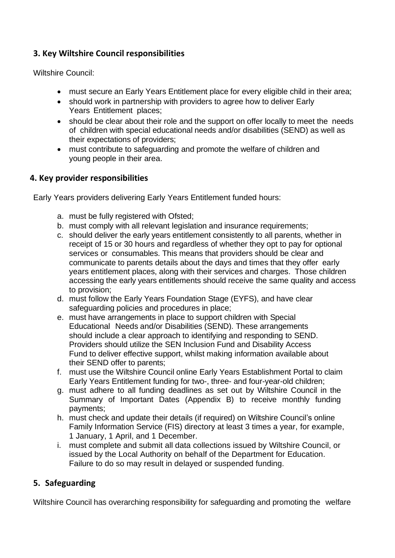## <span id="page-3-0"></span>**3. Key Wiltshire Council responsibilities**

Wiltshire Council:

- must secure an Early Years Entitlement place for every eligible child in their area;
- should work in partnership with providers to agree how to deliver Early Years Entitlement places;
- should be clear about their role and the support on offer locally to meet the needs of children with special educational needs and/or disabilities (SEND) as well as their expectations of providers;
- must contribute to safeguarding and promote the welfare of children and young people in their area.

## <span id="page-3-1"></span>**4. Key provider responsibilities**

Early Years providers delivering Early Years Entitlement funded hours:

- a. must be fully registered with Ofsted;
- b. must comply with all relevant legislation and insurance requirements;
- c. should deliver the early years entitlement consistently to all parents, whether in receipt of 15 or 30 hours and regardless of whether they opt to pay for optional services or consumables. This means that providers should be clear and communicate to parents details about the days and times that they offer early years entitlement places, along with their services and charges. Those children accessing the early years entitlements should receive the same quality and access to provision;
- d. must follow the Early Years Foundation Stage (EYFS), and have clear safeguarding policies and procedures in place;
- e. must have arrangements in place to support children with Special Educational Needs and/or Disabilities (SEND). These arrangements should include a clear approach to identifying and responding to SEND. Providers should utilize the SEN Inclusion Fund and Disability Access Fund to deliver effective support, whilst making information available about their SEND offer to parents;
- f. must use the Wiltshire Council online Early Years Establishment Portal to claim Early Years Entitlement funding for two-, three- and four-year-old children;
- g. must adhere to all funding deadlines as set out by Wiltshire Council in the Summary of Important Dates (Appendix B) to receive monthly funding payments;
- h. must check and update their details (if required) on Wiltshire Council's online Family Information Service (FIS) directory at least 3 times a year, for example, 1 January, 1 April, and 1 December.
- i. must complete and submit all data collections issued by Wiltshire Council, or issued by the Local Authority on behalf of the Department for Education. Failure to do so may result in delayed or suspended funding.

## <span id="page-3-2"></span>**5. Safeguarding**

Wiltshire Council has overarching responsibility for safeguarding and promoting the welfare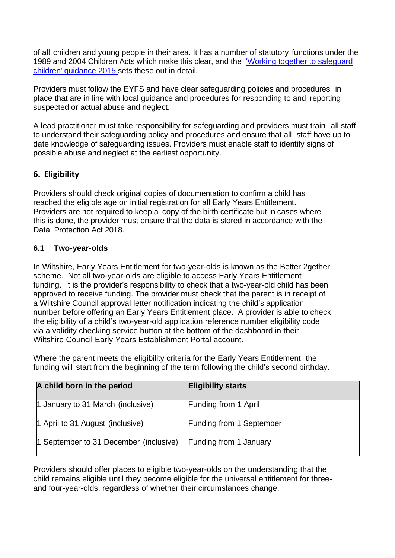of all children and young people in their area. It has a number of statutory functions under the 1989 and 2004 Children Acts which make this clear, and the ['Working together](https://www.gov.uk/government/uploads/system/uploads/attachment_data/file/592101/Working_Together_to_Safeguard_Children_20170213.pdf) to safeguard [children' guidance 2015](https://www.gov.uk/government/uploads/system/uploads/attachment_data/file/592101/Working_Together_to_Safeguard_Children_20170213.pdf) sets these out in detail.

Providers must follow the EYFS and have clear safeguarding policies and procedures in place that are in line with local guidance and procedures for responding to and reporting suspected or actual abuse and neglect.

A lead practitioner must take responsibility for safeguarding and providers must train all staff to understand their safeguarding policy and procedures and ensure that all staff have up to date knowledge of safeguarding issues. Providers must enable staff to identify signs of possible abuse and neglect at the earliest opportunity.

## <span id="page-4-0"></span>**6. Eligibility**

Providers should check original copies of documentation to confirm a child has reached the eligible age on initial registration for all Early Years Entitlement. Providers are not required to keep a copy of the birth certificate but in cases where this is done, the provider must ensure that the data is stored in accordance with the Data Protection Act 2018.

## **6.1 Two-year-olds**

In Wiltshire, Early Years Entitlement for two-year-olds is known as the Better 2gether scheme. Not all two-year-olds are eligible to access Early Years Entitlement funding. It is the provider's responsibility to check that a two-year-old child has been approved to receive funding. The provider must check that the parent is in receipt of a Wiltshire Council approval letter notification indicating the child's application number before offering an Early Years Entitlement place. A provider is able to check the eligibility of a child's two-year-old application reference number eligibility code via a validity checking service button at the bottom of the dashboard in their Wiltshire Council Early Years Establishment Portal account.

Where the parent meets the eligibility criteria for the Early Years Entitlement, the funding will start from the beginning of the term following the child's second birthday.

| A child born in the period             | <b>Eligibility starts</b> |
|----------------------------------------|---------------------------|
| 1 January to 31 March (inclusive)      | Funding from 1 April      |
| 1 April to 31 August (inclusive)       | Funding from 1 September  |
| 1 September to 31 December (inclusive) | Funding from 1 January    |

Providers should offer places to eligible two-year-olds on the understanding that the child remains eligible until they become eligible for the universal entitlement for threeand four-year-olds, regardless of whether their circumstances change.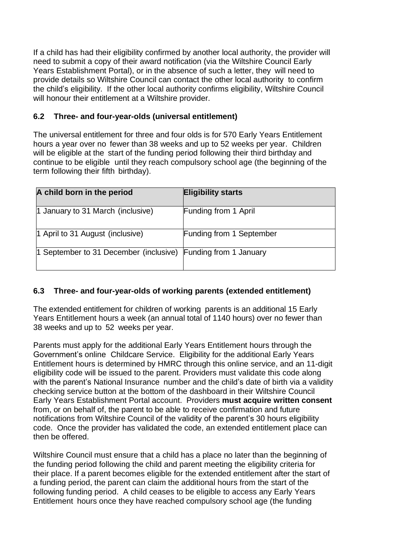If a child has had their eligibility confirmed by another local authority, the provider will need to submit a copy of their award notification (via the Wiltshire Council Early Years Establishment Portal), or in the absence of such a letter, they will need to provide details so Wiltshire Council can contact the other local authority to confirm the child's eligibility. If the other local authority confirms eligibility, Wiltshire Council will honour their entitlement at a Wiltshire provider.

### **6.2 Three- and four-year-olds (universal entitlement)**

The universal entitlement for three and four olds is for 570 Early Years Entitlement hours a year over no fewer than 38 weeks and up to 52 weeks per year. Children will be eligible at the start of the funding period following their third birthday and continue to be eligible until they reach compulsory school age (the beginning of the term following their fifth birthday).

| A child born in the period                                    | <b>Eligibility starts</b>   |
|---------------------------------------------------------------|-----------------------------|
| 1 January to 31 March (inclusive)                             | <b>Funding from 1 April</b> |
| 1 April to 31 August (inclusive)                              | Funding from 1 September    |
| 1 September to 31 December (inclusive) Funding from 1 January |                             |

#### **6.3 Three- and four-year-olds of working parents (extended entitlement)**

The extended entitlement for children of working parents is an additional 15 Early Years Entitlement hours a week (an annual total of 1140 hours) over no fewer than 38 weeks and up to 52 weeks per year.

Parents must apply for the additional Early Years Entitlement hours through the Government's online Childcare Service. Eligibility for the additional Early Years Entitlement hours is determined by HMRC through this online service, and an 11-digit eligibility code will be issued to the parent. Providers must validate this code along with the parent's National Insurance number and the child's date of birth via a validity checking service button at the bottom of the dashboard in their Wiltshire Council Early Years Establishment Portal account. Providers **must acquire written consent** from, or on behalf of, the parent to be able to receive confirmation and future notifications from Wiltshire Council of the validity of the parent's 30 hours eligibility code. Once the provider has validated the code, an extended entitlement place can then be offered.

Wiltshire Council must ensure that a child has a place no later than the beginning of the funding period following the child and parent meeting the eligibility criteria for their place. If a parent becomes eligible for the extended entitlement after the start of a funding period, the parent can claim the additional hours from the start of the following funding period. A child ceases to be eligible to access any Early Years Entitlement hours once they have reached compulsory school age (the funding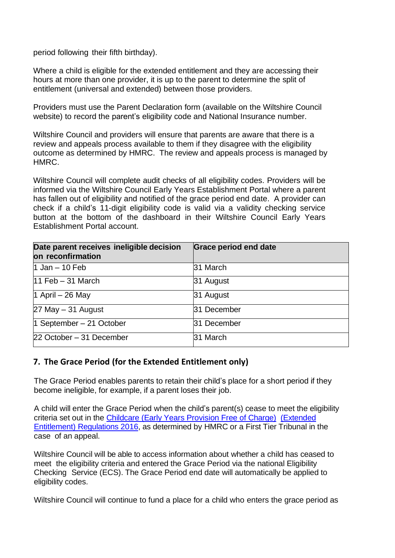period following their fifth birthday).

Where a child is eligible for the extended entitlement and they are accessing their hours at more than one provider, it is up to the parent to determine the split of entitlement (universal and extended) between those providers.

Providers must use the Parent Declaration form (available on the Wiltshire Council website) to record the parent's eligibility code and National Insurance number.

Wiltshire Council and providers will ensure that parents are aware that there is a review and appeals process available to them if they disagree with the eligibility outcome as determined by HMRC. The review and appeals process is managed by HMRC.

Wiltshire Council will complete audit checks of all eligibility codes. Providers will be informed via the Wiltshire Council Early Years Establishment Portal where a parent has fallen out of eligibility and notified of the grace period end date. A provider can check if a child's 11-digit eligibility code is valid via a validity checking service button at the bottom of the dashboard in their Wiltshire Council Early Years Establishment Portal account.

| Date parent receives ineligible decision<br>on reconfirmation | Grace period end date |  |
|---------------------------------------------------------------|-----------------------|--|
| 1 Jan $-$ 10 Feb                                              | 31 March              |  |
| $11$ Feb $-31$ March                                          | 31 August             |  |
| 1 April $-26$ May                                             | 31 August             |  |
| $27$ May $-$ 31 August                                        | 31 December           |  |
| 1 September – 21 October                                      | 31 December           |  |
| 22 October - 31 December                                      | 31 March              |  |

#### <span id="page-6-0"></span>**7. The Grace Period (for the Extended Entitlement only)**

The Grace Period enables parents to retain their child's place for a short period if they become ineligible, for example, if a parent loses their job.

A child will enter the Grace Period when the child's parent(s) cease to meet the eligibility criteria set out in the [Childcare](https://www.brighton-hove.gov.uk/sites/brighton-hove.gov.uk/files/30%20hours%20free%20childcare%20eligibility.pdf) (Early Years Provision Free of Charge) [\(Extended](https://www.brighton-hove.gov.uk/sites/brighton-hove.gov.uk/files/30%20hours%20free%20childcare%20eligibility.pdf) [Entitlement\)](https://www.brighton-hove.gov.uk/sites/brighton-hove.gov.uk/files/30%20hours%20free%20childcare%20eligibility.pdf) Regulations 2016, as determined by HMRC or a First Tier Tribunal in the case of an appeal.

Wiltshire Council will be able to access information about whether a child has ceased to meet the eligibility criteria and entered the Grace Period via the national Eligibility Checking Service (ECS). The Grace Period end date will automatically be applied to eligibility codes.

Wiltshire Council will continue to fund a place for a child who enters the grace period as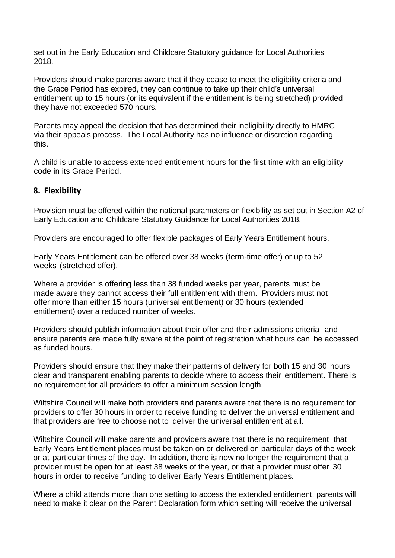set out in the Early Education and Childcare Statutory guidance for Local Authorities 2018.

Providers should make parents aware that if they cease to meet the eligibility criteria and the Grace Period has expired, they can continue to take up their child's universal entitlement up to 15 hours (or its equivalent if the entitlement is being stretched) provided they have not exceeded 570 hours.

Parents may appeal the decision that has determined their ineligibility directly to HMRC via their appeals process. The Local Authority has no influence or discretion regarding this.

A child is unable to access extended entitlement hours for the first time with an eligibility code in its Grace Period.

#### <span id="page-7-0"></span>**8. Flexibility**

Provision must be offered within the national parameters on flexibility as set out in Section A2 of Early Education and Childcare Statutory Guidance for Local Authorities 2018.

Providers are encouraged to offer flexible packages of Early Years Entitlement hours.

Early Years Entitlement can be offered over 38 weeks (term-time offer) or up to 52 weeks (stretched offer).

Where a provider is offering less than 38 funded weeks per year, parents must be made aware they cannot access their full entitlement with them. Providers must not offer more than either 15 hours (universal entitlement) or 30 hours (extended entitlement) over a reduced number of weeks.

Providers should publish information about their offer and their admissions criteria and ensure parents are made fully aware at the point of registration what hours can be accessed as funded hours.

Providers should ensure that they make their patterns of delivery for both 15 and 30 hours clear and transparent enabling parents to decide where to access their entitlement. There is no requirement for all providers to offer a minimum session length.

Wiltshire Council will make both providers and parents aware that there is no requirement for providers to offer 30 hours in order to receive funding to deliver the universal entitlement and that providers are free to choose not to deliver the universal entitlement at all.

Wiltshire Council will make parents and providers aware that there is no requirement that Early Years Entitlement places must be taken on or delivered on particular days of the week or at particular times of the day. In addition, there is now no longer the requirement that a provider must be open for at least 38 weeks of the year, or that a provider must offer 30 hours in order to receive funding to deliver Early Years Entitlement places.

Where a child attends more than one setting to access the extended entitlement, parents will need to make it clear on the Parent Declaration form which setting will receive the universal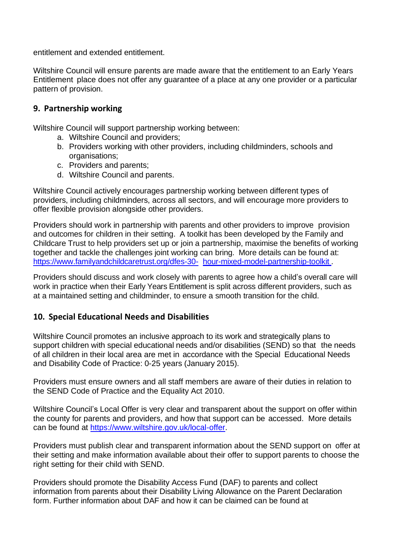entitlement and extended entitlement.

Wiltshire Council will ensure parents are made aware that the entitlement to an Early Years Entitlement place does not offer any guarantee of a place at any one provider or a particular pattern of provision.

#### <span id="page-8-0"></span>**9. Partnership working**

Wiltshire Council will support partnership working between:

- a. Wiltshire Council and providers;
- b. Providers working with other providers, including childminders, schools and organisations;
- c. Providers and parents;
- d. Wiltshire Council and parents.

Wiltshire Council actively encourages partnership working between different types of providers, including childminders, across all sectors, and will encourage more providers to offer flexible provision alongside other providers.

Providers should work in partnership with parents and other providers to improve provision and outcomes for children in their setting. A toolkit has been developed by the Family and Childcare Trust to help providers set up or join a partnership, maximise the benefits of working together and tackle the challenges joint working can bring. More details can be found at: [https://www.familyandchildcaretrust.org/dfes-30-](https://www.familyandchildcaretrust.org/dfes-30-hour-mixed-model-partnership-toolkit) [hour-mixed-model-partnership-toolkit](https://www.familyandchildcaretrust.org/dfes-30-hour-mixed-model-partnership-toolkit) .

Providers should discuss and work closely with parents to agree how a child's overall care will work in practice when their Early Years Entitlement is split across different providers, such as at a maintained setting and childminder, to ensure a smooth transition for the child.

#### <span id="page-8-1"></span>**10. Special Educational Needs and Disabilities**

Wiltshire Council promotes an inclusive approach to its work and strategically plans to support children with special educational needs and/or disabilities (SEND) so that the needs of all children in their local area are met in accordance with the Special Educational Needs and Disability Code of Practice: 0-25 years (January 2015).

Providers must ensure owners and all staff members are aware of their duties in relation to the SEND Code of Practice and the Equality Act 2010.

Wiltshire Council's Local Offer is very clear and transparent about the support on offer within the county for parents and providers, and how that support can be accessed. More details can be found at [https://www.wiltshire.gov.uk/local-offer.](https://www.wiltshire.gov.uk/local-offer)

Providers must publish clear and transparent information about the SEND support on offer at their setting and make information available about their offer to support parents to choose the right setting for their child with SEND.

Providers should promote the Disability Access Fund (DAF) to parents and collect information from parents about their Disability Living Allowance on the Parent Declaration form. Further information about DAF and how it can be claimed can be found at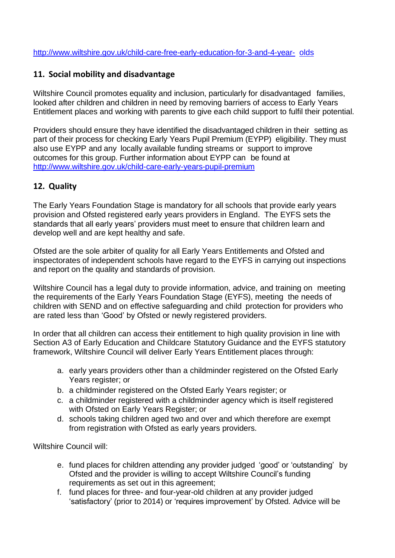[http://www.wiltshire.gov.uk/child-care-free-early-education-for-3-and-4-year-](http://www.wiltshire.gov.uk/child-care-free-early-education-for-3-and-4-year-olds) [olds](http://www.wiltshire.gov.uk/child-care-free-early-education-for-3-and-4-year-olds)

## <span id="page-9-0"></span>**11. Social mobility and disadvantage**

Wiltshire Council promotes equality and inclusion, particularly for disadvantaged families, looked after children and children in need by removing barriers of access to Early Years Entitlement places and working with parents to give each child support to fulfil their potential.

Providers should ensure they have identified the disadvantaged children in their setting as part of their process for checking Early Years Pupil Premium (EYPP) eligibility. They must also use EYPP and any locally available funding streams or support to improve outcomes for this group. Further information about EYPP can be found at <http://www.wiltshire.gov.uk/child-care-early-years-pupil-premium>

## <span id="page-9-1"></span>**12. Quality**

The Early Years Foundation Stage is mandatory for all schools that provide early years provision and Ofsted registered early years providers in England. The EYFS sets the standards that all early years' providers must meet to ensure that children learn and develop well and are kept healthy and safe.

Ofsted are the sole arbiter of quality for all Early Years Entitlements and Ofsted and inspectorates of independent schools have regard to the EYFS in carrying out inspections and report on the quality and standards of provision.

Wiltshire Council has a legal duty to provide information, advice, and training on meeting the requirements of the Early Years Foundation Stage (EYFS), meeting the needs of children with SEND and on effective safeguarding and child protection for providers who are rated less than 'Good' by Ofsted or newly registered providers.

In order that all children can access their entitlement to high quality provision in line with Section A3 of Early Education and Childcare Statutory Guidance and the EYFS statutory framework, Wiltshire Council will deliver Early Years Entitlement places through:

- a. early years providers other than a childminder registered on the Ofsted Early Years register; or
- b. a childminder registered on the Ofsted Early Years register; or
- c. a childminder registered with a childminder agency which is itself registered with Ofsted on Early Years Register; or
- d. schools taking children aged two and over and which therefore are exempt from registration with Ofsted as early years providers.

Wiltshire Council will:

- e. fund places for children attending any provider judged 'good' or 'outstanding' by Ofsted and the provider is willing to accept Wiltshire Council's funding requirements as set out in this agreement;
- f. fund places for three- and four-year-old children at any provider judged 'satisfactory' (prior to 2014) or 'requires improvement' by Ofsted. Advice will be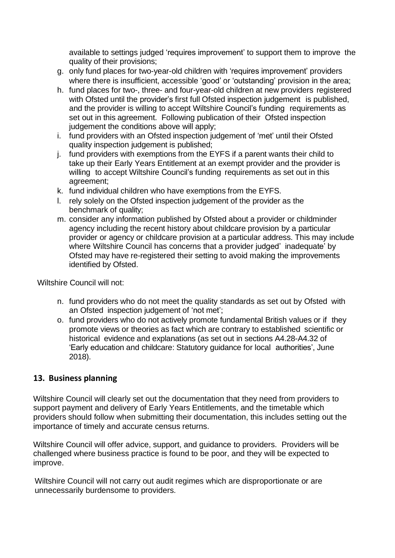available to settings judged 'requires improvement' to support them to improve the quality of their provisions;

- g. only fund places for two-year-old children with 'requires improvement' providers where there is insufficient, accessible 'good' or 'outstanding' provision in the area;
- h. fund places for two-, three- and four-year-old children at new providers registered with Ofsted until the provider's first full Ofsted inspection judgement is published. and the provider is willing to accept Wiltshire Council's funding requirements as set out in this agreement. Following publication of their Ofsted inspection judgement the conditions above will apply;
- i. fund providers with an Ofsted inspection judgement of 'met' until their Ofsted quality inspection judgement is published;
- j. fund providers with exemptions from the EYFS if a parent wants their child to take up their Early Years Entitlement at an exempt provider and the provider is willing to accept Wiltshire Council's funding requirements as set out in this agreement;
- k. fund individual children who have exemptions from the EYFS.
- l. rely solely on the Ofsted inspection judgement of the provider as the benchmark of quality;
- m. consider any information published by Ofsted about a provider or childminder agency including the recent history about childcare provision by a particular provider or agency or childcare provision at a particular address. This may include where Wiltshire Council has concerns that a provider judged' inadequate' by Ofsted may have re-registered their setting to avoid making the improvements identified by Ofsted.

Wiltshire Council will not:

- n. fund providers who do not meet the quality standards as set out by Ofsted with an Ofsted inspection judgement of 'not met';
- o. fund providers who do not actively promote fundamental British values or if they promote views or theories as fact which are contrary to established scientific or historical evidence and explanations (as set out in sections A4.28-A4.32 of 'Early education and childcare: Statutory guidance for local authorities', June 2018).

## <span id="page-10-0"></span>**13. Business planning**

Wiltshire Council will clearly set out the documentation that they need from providers to support payment and delivery of Early Years Entitlements, and the timetable which providers should follow when submitting their documentation, this includes setting out the importance of timely and accurate census returns.

Wiltshire Council will offer advice, support, and guidance to providers. Providers will be challenged where business practice is found to be poor, and they will be expected to improve.

Wiltshire Council will not carry out audit regimes which are disproportionate or are unnecessarily burdensome to providers.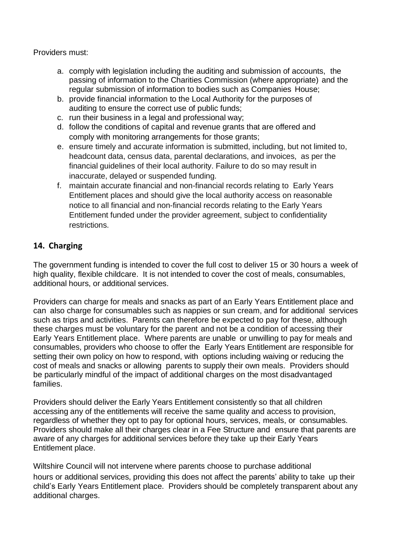Providers must:

- a. comply with legislation including the auditing and submission of accounts, the passing of information to the Charities Commission (where appropriate) and the regular submission of information to bodies such as Companies House;
- b. provide financial information to the Local Authority for the purposes of auditing to ensure the correct use of public funds;
- c. run their business in a legal and professional way;
- d. follow the conditions of capital and revenue grants that are offered and comply with monitoring arrangements for those grants;
- e. ensure timely and accurate information is submitted, including, but not limited to, headcount data, census data, parental declarations, and invoices, as per the financial guidelines of their local authority. Failure to do so may result in inaccurate, delayed or suspended funding.
- f. maintain accurate financial and non-financial records relating to Early Years Entitlement places and should give the local authority access on reasonable notice to all financial and non-financial records relating to the Early Years Entitlement funded under the provider agreement, subject to confidentiality restrictions.

## <span id="page-11-0"></span>**14. Charging**

The government funding is intended to cover the full cost to deliver 15 or 30 hours a week of high quality, flexible childcare. It is not intended to cover the cost of meals, consumables, additional hours, or additional services.

Providers can charge for meals and snacks as part of an Early Years Entitlement place and can also charge for consumables such as nappies or sun cream, and for additional services such as trips and activities. Parents can therefore be expected to pay for these, although these charges must be voluntary for the parent and not be a condition of accessing their Early Years Entitlement place. Where parents are unable or unwilling to pay for meals and consumables, providers who choose to offer the Early Years Entitlement are responsible for setting their own policy on how to respond, with options including waiving or reducing the cost of meals and snacks or allowing parents to supply their own meals. Providers should be particularly mindful of the impact of additional charges on the most disadvantaged families.

Providers should deliver the Early Years Entitlement consistently so that all children accessing any of the entitlements will receive the same quality and access to provision, regardless of whether they opt to pay for optional hours, services, meals, or consumables. Providers should make all their charges clear in a Fee Structure and ensure that parents are aware of any charges for additional services before they take up their Early Years Entitlement place.

Wiltshire Council will not intervene where parents choose to purchase additional hours or additional services, providing this does not affect the parents' ability to take up their child's Early Years Entitlement place. Providers should be completely transparent about any additional charges.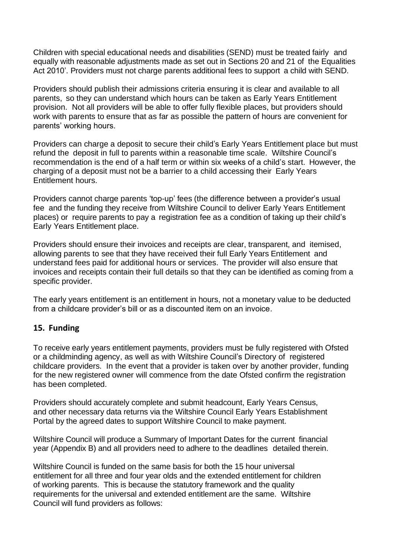Children with special educational needs and disabilities (SEND) must be treated fairly and equally with reasonable adjustments made as set out in Sections 20 and 21 of the Equalities Act 2010'. Providers must not charge parents additional fees to support a child with SEND.

Providers should publish their admissions criteria ensuring it is clear and available to all parents, so they can understand which hours can be taken as Early Years Entitlement provision. Not all providers will be able to offer fully flexible places, but providers should work with parents to ensure that as far as possible the pattern of hours are convenient for parents' working hours.

Providers can charge a deposit to secure their child's Early Years Entitlement place but must refund the deposit in full to parents within a reasonable time scale. Wiltshire Council's recommendation is the end of a half term or within six weeks of a child's start. However, the charging of a deposit must not be a barrier to a child accessing their Early Years Entitlement hours.

Providers cannot charge parents 'top-up' fees (the difference between a provider's usual fee and the funding they receive from Wiltshire Council to deliver Early Years Entitlement places) or require parents to pay a registration fee as a condition of taking up their child's Early Years Entitlement place.

Providers should ensure their invoices and receipts are clear, transparent, and itemised, allowing parents to see that they have received their full Early Years Entitlement and understand fees paid for additional hours or services. The provider will also ensure that invoices and receipts contain their full details so that they can be identified as coming from a specific provider.

The early years entitlement is an entitlement in hours, not a monetary value to be deducted from a childcare provider's bill or as a discounted item on an invoice.

#### <span id="page-12-0"></span>**15. Funding**

To receive early years entitlement payments, providers must be fully registered with Ofsted or a childminding agency, as well as with Wiltshire Council's Directory of registered childcare providers. In the event that a provider is taken over by another provider, funding for the new registered owner will commence from the date Ofsted confirm the registration has been completed.

Providers should accurately complete and submit headcount, Early Years Census, and other necessary data returns via the Wiltshire Council Early Years Establishment Portal by the agreed dates to support Wiltshire Council to make payment.

Wiltshire Council will produce a Summary of Important Dates for the current financial year (Appendix B) and all providers need to adhere to the deadlines detailed therein.

Wiltshire Council is funded on the same basis for both the 15 hour universal entitlement for all three and four year olds and the extended entitlement for children of working parents. This is because the statutory framework and the quality requirements for the universal and extended entitlement are the same. Wiltshire Council will fund providers as follows: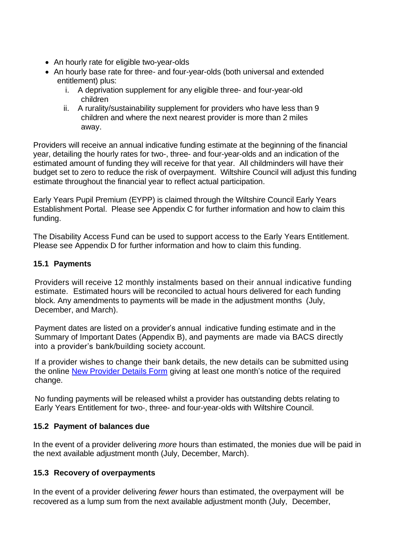- An hourly rate for eligible two-year-olds
- An hourly base rate for three- and four-year-olds (both universal and extended entitlement) plus:
	- i. A deprivation supplement for any eligible three- and four-year-old children
	- ii. A rurality/sustainability supplement for providers who have less than 9 children and where the next nearest provider is more than 2 miles away.

Providers will receive an annual indicative funding estimate at the beginning of the financial year, detailing the hourly rates for two-, three- and four-year-olds and an indication of the estimated amount of funding they will receive for that year. All childminders will have their budget set to zero to reduce the risk of overpayment. Wiltshire Council will adjust this funding estimate throughout the financial year to reflect actual participation.

Early Years Pupil Premium (EYPP) is claimed through the Wiltshire Council Early Years Establishment Portal. Please see Appendix C for further information and how to claim this funding.

The Disability Access Fund can be used to support access to the Early Years Entitlement. Please see Appendix D for further information and how to claim this funding.

## **15.1 Payments**

Providers will receive 12 monthly instalments based on their annual indicative funding estimate. Estimated hours will be reconciled to actual hours delivered for each funding block. Any amendments to payments will be made in the adjustment months (July, December, and March).

Payment dates are listed on a provider's annual indicative funding estimate and in the Summary of Important Dates (Appendix B), and payments are made via BACS directly into a provider's bank/building society account.

If a provider wishes to change their bank details, the new details can be submitted using the online [New Provider Details Form](https://pages.wiltshire.gov.uk/earlyyearsnewproviderdetailsform.htm) giving at least one month's notice of the required change.

No funding payments will be released whilst a provider has outstanding debts relating to Early Years Entitlement for two-, three- and four-year-olds with Wiltshire Council.

#### **15.2 Payment of balances due**

In the event of a provider delivering *more* hours than estimated, the monies due will be paid in the next available adjustment month (July, December, March).

## **15.3 Recovery of overpayments**

In the event of a provider delivering *fewer* hours than estimated, the overpayment will be recovered as a lump sum from the next available adjustment month (July, December,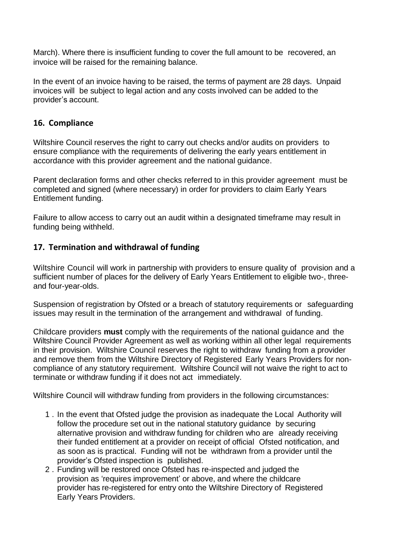March). Where there is insufficient funding to cover the full amount to be recovered, an invoice will be raised for the remaining balance.

In the event of an invoice having to be raised, the terms of payment are 28 days. Unpaid invoices will be subject to legal action and any costs involved can be added to the provider's account.

## <span id="page-14-0"></span>**16. Compliance**

Wiltshire Council reserves the right to carry out checks and/or audits on providers to ensure compliance with the requirements of delivering the early years entitlement in accordance with this provider agreement and the national guidance.

Parent declaration forms and other checks referred to in this provider agreement must be completed and signed (where necessary) in order for providers to claim Early Years Entitlement funding.

Failure to allow access to carry out an audit within a designated timeframe may result in funding being withheld.

## <span id="page-14-1"></span>**17. Termination and withdrawal of funding**

Wiltshire Council will work in partnership with providers to ensure quality of provision and a sufficient number of places for the delivery of Early Years Entitlement to eligible two-, threeand four-year-olds.

Suspension of registration by Ofsted or a breach of statutory requirements or safeguarding issues may result in the termination of the arrangement and withdrawal of funding.

Childcare providers **must** comply with the requirements of the national guidance and the Wiltshire Council Provider Agreement as well as working within all other legal requirements in their provision. Wiltshire Council reserves the right to withdraw funding from a provider and remove them from the Wiltshire Directory of Registered Early Years Providers for noncompliance of any statutory requirement. Wiltshire Council will not waive the right to act to terminate or withdraw funding if it does not act immediately.

Wiltshire Council will withdraw funding from providers in the following circumstances:

- 1 . In the event that Ofsted judge the provision as inadequate the Local Authority will follow the procedure set out in the national statutory guidance by securing alternative provision and withdraw funding for children who are already receiving their funded entitlement at a provider on receipt of official Ofsted notification, and as soon as is practical. Funding will not be withdrawn from a provider until the provider's Ofsted inspection is published.
- 2 . Funding will be restored once Ofsted has re-inspected and judged the provision as 'requires improvement' or above, and where the childcare provider has re-registered for entry onto the Wiltshire Directory of Registered Early Years Providers.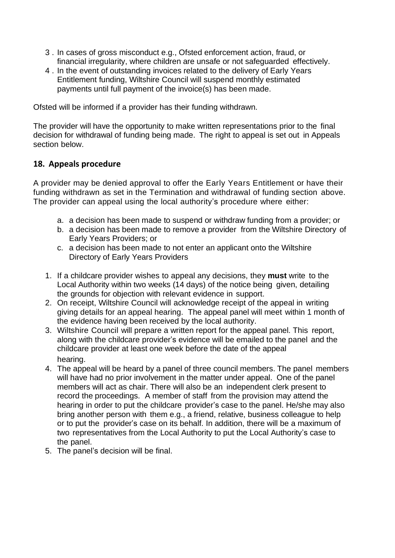- 3 . In cases of gross misconduct e.g., Ofsted enforcement action, fraud, or financial irregularity, where children are unsafe or not safeguarded effectively.
- 4 . In the event of outstanding invoices related to the delivery of Early Years Entitlement funding, Wiltshire Council will suspend monthly estimated payments until full payment of the invoice(s) has been made.

Ofsted will be informed if a provider has their funding withdrawn.

The provider will have the opportunity to make written representations prior to the final decision for withdrawal of funding being made. The right to appeal is set out in Appeals section below.

## <span id="page-15-0"></span>**18. Appeals procedure**

A provider may be denied approval to offer the Early Years Entitlement or have their funding withdrawn as set in the Termination and withdrawal of funding section above. The provider can appeal using the local authority's procedure where either:

- a. a decision has been made to suspend or withdraw funding from a provider; or
- b. a decision has been made to remove a provider from the Wiltshire Directory of Early Years Providers; or
- c. a decision has been made to not enter an applicant onto the Wiltshire Directory of Early Years Providers
- 1. If a childcare provider wishes to appeal any decisions, they **must** write to the Local Authority within two weeks (14 days) of the notice being given, detailing the grounds for objection with relevant evidence in support.
- 2. On receipt, Wiltshire Council will acknowledge receipt of the appeal in writing giving details for an appeal hearing. The appeal panel will meet within 1 month of the evidence having been received by the local authority.
- 3. Wiltshire Council will prepare a written report for the appeal panel. This report, along with the childcare provider's evidence will be emailed to the panel and the childcare provider at least one week before the date of the appeal hearing.
- 4. The appeal will be heard by a panel of three council members. The panel members will have had no prior involvement in the matter under appeal. One of the panel members will act as chair. There will also be an independent clerk present to record the proceedings. A member of staff from the provision may attend the hearing in order to put the childcare provider's case to the panel. He/she may also bring another person with them e.g., a friend, relative, business colleague to help or to put the provider's case on its behalf. In addition, there will be a maximum of two representatives from the Local Authority to put the Local Authority's case to the panel.
- 5. The panel's decision will be final.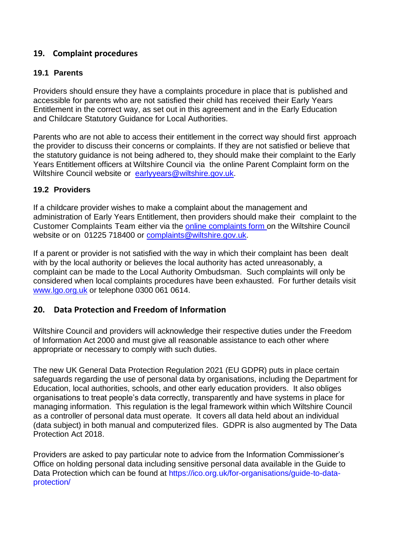## <span id="page-16-0"></span>**19. Complaint procedures**

#### **19.1 Parents**

Providers should ensure they have a complaints procedure in place that is published and accessible for parents who are not satisfied their child has received their Early Years Entitlement in the correct way, as set out in this agreement and in the Early Education and Childcare Statutory Guidance for Local Authorities.

Parents who are not able to access their entitlement in the correct way should first approach the provider to discuss their concerns or complaints. If they are not satisfied or believe that the statutory guidance is not being adhered to, they should make their complaint to the Early Years Entitlement officers at Wiltshire Council via the online Parent Complaint form on the Wiltshire Council website or [earlyyears@wiltshire.gov.uk.](mailto:earlyyears@wiltshire.gov.uk)

#### **19.2 Providers**

If a childcare provider wishes to make a complaint about the management and administration of Early Years Entitlement, then providers should make their complaint to the Customer Complaints Team either via the online [complaints](https://www.wiltshire.gov.uk/council/complaints/corporatecomplaintsform.htm) form on the Wiltshire Council website or on 01225 718400 or [complaints@wiltshire.gov.uk.](mailto:complaints@wiltshire.gov.uk)

If a parent or provider is not satisfied with the way in which their complaint has been dealt with by the local authority or believes the local authority has acted unreasonably, a complaint can be made to the Local Authority Ombudsman. Such complaints will only be considered when local complaints procedures have been exhausted. For further details visit [www.lgo.org.uk](http://www.lgo.org.uk/) or telephone 0300 061 0614.

#### <span id="page-16-1"></span>**20. Data Protection and Freedom of Information**

Wiltshire Council and providers will acknowledge their respective duties under the Freedom of Information Act 2000 and must give all reasonable assistance to each other where appropriate or necessary to comply with such duties.

The new UK General Data Protection Regulation 2021 (EU GDPR) puts in place certain safeguards regarding the use of personal data by organisations, including the Department for Education, local authorities, schools, and other early education providers. It also obliges organisations to treat people's data correctly, transparently and have systems in place for managing information. This regulation is the legal framework within which Wiltshire Council as a controller of personal data must operate. It covers all data held about an individual (data subject) in both manual and computerized files. GDPR is also augmented by The Data Protection Act 2018.

Providers are asked to pay particular note to advice from the Information Commissioner's Office on holding personal data including sensitive personal data available in the Guide to Data Protection which can be found at https://ico.org.uk/for-organisations/guide-to-dataprotection/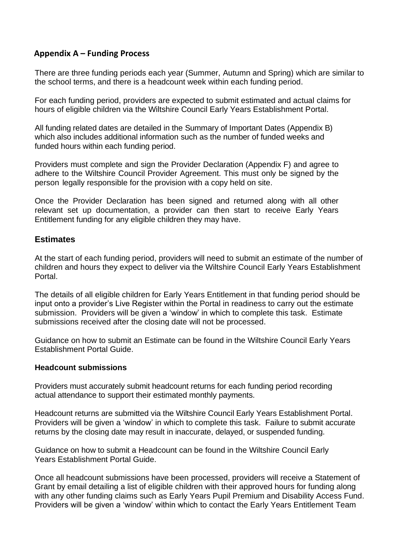## <span id="page-17-0"></span> **Appendix A – Funding Process**

There are three funding periods each year (Summer, Autumn and Spring) which are similar to the school terms, and there is a headcount week within each funding period.

For each funding period, providers are expected to submit estimated and actual claims for hours of eligible children via the Wiltshire Council Early Years Establishment Portal.

All funding related dates are detailed in the Summary of Important Dates (Appendix B) which also includes additional information such as the number of funded weeks and funded hours within each funding period.

Providers must complete and sign the Provider Declaration (Appendix F) and agree to adhere to the Wiltshire Council Provider Agreement. This must only be signed by the person legally responsible for the provision with a copy held on site.

Once the Provider Declaration has been signed and returned along with all other relevant set up documentation, a provider can then start to receive Early Years Entitlement funding for any eligible children they may have.

#### **Estimates**

At the start of each funding period, providers will need to submit an estimate of the number of children and hours they expect to deliver via the Wiltshire Council Early Years Establishment Portal.

The details of all eligible children for Early Years Entitlement in that funding period should be input onto a provider's Live Register within the Portal in readiness to carry out the estimate submission. Providers will be given a 'window' in which to complete this task. Estimate submissions received after the closing date will not be processed.

Guidance on how to submit an Estimate can be found in the Wiltshire Council Early Years Establishment Portal Guide.

#### **Headcount submissions**

Providers must accurately submit headcount returns for each funding period recording actual attendance to support their estimated monthly payments.

Headcount returns are submitted via the Wiltshire Council Early Years Establishment Portal. Providers will be given a 'window' in which to complete this task. Failure to submit accurate returns by the closing date may result in inaccurate, delayed, or suspended funding.

Guidance on how to submit a Headcount can be found in the Wiltshire Council Early Years Establishment Portal Guide.

Once all headcount submissions have been processed, providers will receive a Statement of Grant by email detailing a list of eligible children with their approved hours for funding along with any other funding claims such as Early Years Pupil Premium and Disability Access Fund. Providers will be given a 'window' within which to contact the Early Years Entitlement Team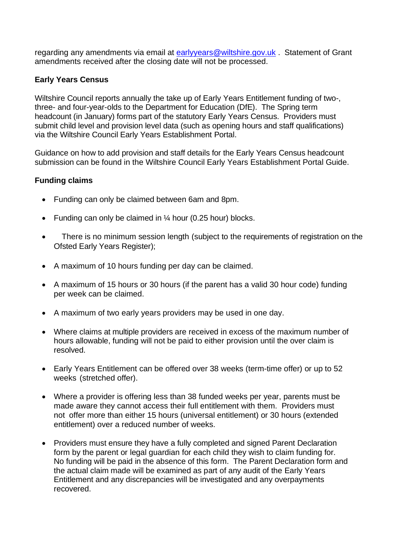regarding any amendments via email at [earlyyears@wiltshire.gov.uk](mailto:earlyyears@wiltshire.gov.uk) . Statement of Grant amendments received after the closing date will not be processed.

### **Early Years Census**

Wiltshire Council reports annually the take up of Early Years Entitlement funding of two-, three- and four-year-olds to the Department for Education (DfE). The Spring term headcount (in January) forms part of the statutory Early Years Census. Providers must submit child level and provision level data (such as opening hours and staff qualifications) via the Wiltshire Council Early Years Establishment Portal.

Guidance on how to add provision and staff details for the Early Years Census headcount submission can be found in the Wiltshire Council Early Years Establishment Portal Guide.

#### **Funding claims**

- Funding can only be claimed between 6am and 8pm.
- Funding can only be claimed in  $\frac{1}{4}$  hour (0.25 hour) blocks.
- There is no minimum session length (subject to the requirements of registration on the Ofsted Early Years Register):
- A maximum of 10 hours funding per day can be claimed.
- A maximum of 15 hours or 30 hours (if the parent has a valid 30 hour code) funding per week can be claimed.
- A maximum of two early years providers may be used in one day.
- Where claims at multiple providers are received in excess of the maximum number of hours allowable, funding will not be paid to either provision until the over claim is resolved.
- Early Years Entitlement can be offered over 38 weeks (term-time offer) or up to 52 weeks (stretched offer).
- Where a provider is offering less than 38 funded weeks per year, parents must be made aware they cannot access their full entitlement with them. Providers must not offer more than either 15 hours (universal entitlement) or 30 hours (extended entitlement) over a reduced number of weeks.
- Providers must ensure they have a fully completed and signed Parent Declaration form by the parent or legal guardian for each child they wish to claim funding for. No funding will be paid in the absence of this form. The Parent Declaration form and the actual claim made will be examined as part of any audit of the Early Years Entitlement and any discrepancies will be investigated and any overpayments recovered.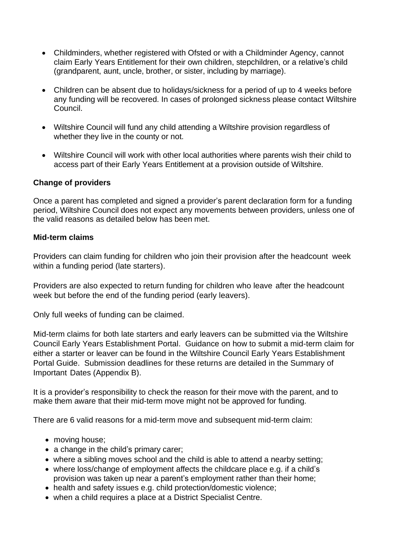- Childminders, whether registered with Ofsted or with a Childminder Agency, cannot claim Early Years Entitlement for their own children, stepchildren, or a relative's child (grandparent, aunt, uncle, brother, or sister, including by marriage).
- Children can be absent due to holidays/sickness for a period of up to 4 weeks before any funding will be recovered. In cases of prolonged sickness please contact Wiltshire Council.
- Wiltshire Council will fund any child attending a Wiltshire provision regardless of whether they live in the county or not.
- Wiltshire Council will work with other local authorities where parents wish their child to access part of their Early Years Entitlement at a provision outside of Wiltshire.

#### **Change of providers**

Once a parent has completed and signed a provider's parent declaration form for a funding period, Wiltshire Council does not expect any movements between providers, unless one of the valid reasons as detailed below has been met.

#### **Mid-term claims**

Providers can claim funding for children who join their provision after the headcount week within a funding period (late starters).

Providers are also expected to return funding for children who leave after the headcount week but before the end of the funding period (early leavers).

Only full weeks of funding can be claimed.

Mid-term claims for both late starters and early leavers can be submitted via the Wiltshire Council Early Years Establishment Portal. Guidance on how to submit a mid-term claim for either a starter or leaver can be found in the Wiltshire Council Early Years Establishment Portal Guide. Submission deadlines for these returns are detailed in the Summary of Important Dates (Appendix B).

It is a provider's responsibility to check the reason for their move with the parent, and to make them aware that their mid-term move might not be approved for funding.

There are 6 valid reasons for a mid-term move and subsequent mid-term claim:

- moving house;
- a change in the child's primary carer;
- where a sibling moves school and the child is able to attend a nearby setting;
- where loss/change of employment affects the childcare place e.g. if a child's provision was taken up near a parent's employment rather than their home;
- health and safety issues e.g. child protection/domestic violence;
- when a child requires a place at a District Specialist Centre.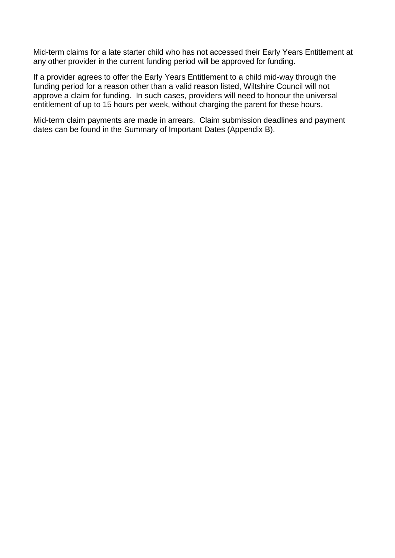Mid-term claims for a late starter child who has not accessed their Early Years Entitlement at any other provider in the current funding period will be approved for funding.

If a provider agrees to offer the Early Years Entitlement to a child mid-way through the funding period for a reason other than a valid reason listed, Wiltshire Council will not approve a claim for funding. In such cases, providers will need to honour the universal entitlement of up to 15 hours per week, without charging the parent for these hours.

Mid-term claim payments are made in arrears. Claim submission deadlines and payment dates can be found in the Summary of Important Dates (Appendix B).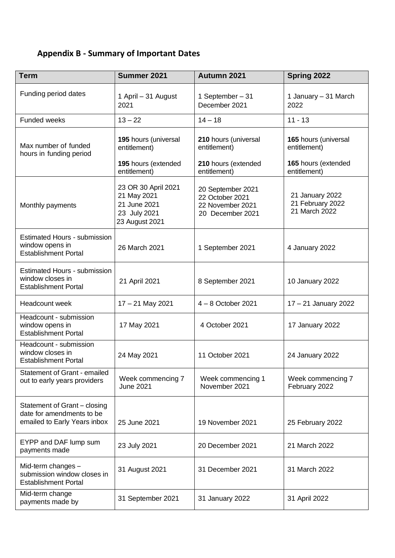## <span id="page-21-0"></span>**Appendix B - Summary of Important Dates**

| <b>Term</b>                                                                               | Summer 2021                                                                          | Autumn 2021                                                                  | Spring 2022                                                 |
|-------------------------------------------------------------------------------------------|--------------------------------------------------------------------------------------|------------------------------------------------------------------------------|-------------------------------------------------------------|
| Funding period dates                                                                      | 1 April - 31 August<br>2021                                                          | 1 September - 31<br>December 2021                                            | 1 January - 31 March<br>2022                                |
| Funded weeks                                                                              | $13 - 22$                                                                            | $14 - 18$                                                                    | $11 - 13$                                                   |
| Max number of funded<br>hours in funding period                                           | 195 hours (universal<br>entitlement)<br>195 hours (extended                          | 210 hours (universal<br>entitlement)                                         | 165 hours (universal<br>entitlement)<br>165 hours (extended |
|                                                                                           | entitlement)                                                                         | 210 hours (extended<br>entitlement)                                          | entitlement)                                                |
| Monthly payments                                                                          | 23 OR 30 April 2021<br>21 May 2021<br>21 June 2021<br>23 July 2021<br>23 August 2021 | 20 September 2021<br>22 October 2021<br>22 November 2021<br>20 December 2021 | 21 January 2022<br>21 February 2022<br>21 March 2022        |
| <b>Estimated Hours - submission</b><br>window opens in<br><b>Establishment Portal</b>     | 26 March 2021                                                                        | 1 September 2021                                                             | 4 January 2022                                              |
| <b>Estimated Hours - submission</b><br>window closes in<br><b>Establishment Portal</b>    | 21 April 2021                                                                        | 8 September 2021                                                             | 10 January 2022                                             |
| Headcount week                                                                            | $17 - 21$ May 2021                                                                   | $4 - 8$ October 2021                                                         | 17 - 21 January 2022                                        |
| Headcount - submission<br>window opens in<br><b>Establishment Portal</b>                  | 17 May 2021                                                                          | 4 October 2021                                                               | 17 January 2022                                             |
| Headcount - submission<br>window closes in<br><b>Establishment Portal</b>                 | 24 May 2021                                                                          | 11 October 2021                                                              | 24 January 2022                                             |
| Statement of Grant - emailed<br>out to early years providers                              | Week commencing 7<br><b>June 2021</b>                                                | Week commencing 1<br>November 2021                                           | Week commencing 7<br>February 2022                          |
| Statement of Grant - closing<br>date for amendments to be<br>emailed to Early Years inbox | 25 June 2021                                                                         | 19 November 2021                                                             | 25 February 2022                                            |
| EYPP and DAF lump sum<br>payments made                                                    | 23 July 2021                                                                         | 20 December 2021                                                             | 21 March 2022                                               |
| Mid-term changes -<br>submission window closes in<br><b>Establishment Portal</b>          | 31 August 2021                                                                       | 31 December 2021                                                             | 31 March 2022                                               |
| Mid-term change<br>payments made by                                                       | 31 September 2021                                                                    | 31 January 2022                                                              | 31 April 2022                                               |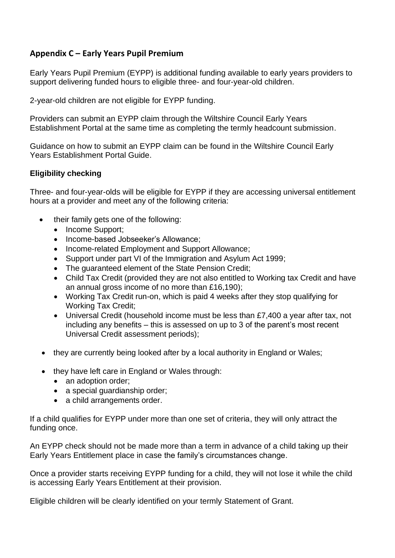## <span id="page-22-0"></span>**Appendix C – Early Years Pupil Premium**

Early Years Pupil Premium (EYPP) is additional funding available to early years providers to support delivering funded hours to eligible three- and four-year-old children.

2-year-old children are not eligible for EYPP funding.

Providers can submit an EYPP claim through the Wiltshire Council Early Years Establishment Portal at the same time as completing the termly headcount submission.

Guidance on how to submit an EYPP claim can be found in the Wiltshire Council Early Years Establishment Portal Guide.

#### **Eligibility checking**

Three- and four-year-olds will be eligible for EYPP if they are accessing universal entitlement hours at a provider and meet any of the following criteria:

- their family gets one of the following:
	- Income Support;
	- Income-based Jobseeker's Allowance:
	- Income-related Employment and Support Allowance;
	- Support under part VI of the Immigration and Asylum Act 1999;
	- The guaranteed element of the State Pension Credit;
	- Child Tax Credit (provided they are not also entitled to Working tax Credit and have an annual gross income of no more than £16,190);
	- Working Tax Credit run-on, which is paid 4 weeks after they stop qualifying for Working Tax Credit;
	- Universal Credit (household income must be less than £7,400 a year after tax, not including any benefits – this is assessed on up to 3 of the parent's most recent Universal Credit assessment periods);
- they are currently being looked after by a local authority in England or Wales:
- they have left care in England or Wales through:
	- an adoption order;
	- a special quardianship order;
	- a child arrangements order.

If a child qualifies for EYPP under more than one set of criteria, they will only attract the funding once.

An EYPP check should not be made more than a term in advance of a child taking up their Early Years Entitlement place in case the family's circumstances change.

Once a provider starts receiving EYPP funding for a child, they will not lose it while the child is accessing Early Years Entitlement at their provision.

Eligible children will be clearly identified on your termly Statement of Grant.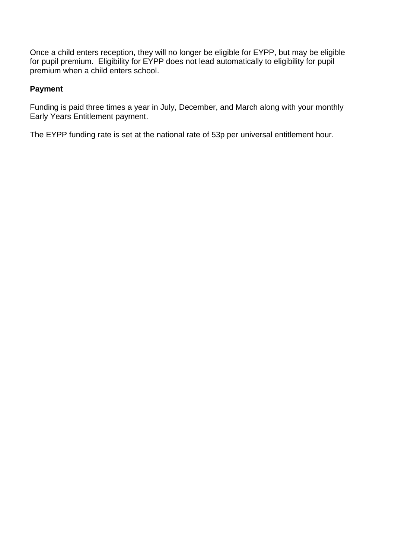Once a child enters reception, they will no longer be eligible for EYPP, but may be eligible for pupil premium. Eligibility for EYPP does not lead automatically to eligibility for pupil premium when a child enters school.

#### **Payment**

Funding is paid three times a year in July, December, and March along with your monthly Early Years Entitlement payment.

<span id="page-23-0"></span>The EYPP funding rate is set at the national rate of 53p per universal entitlement hour.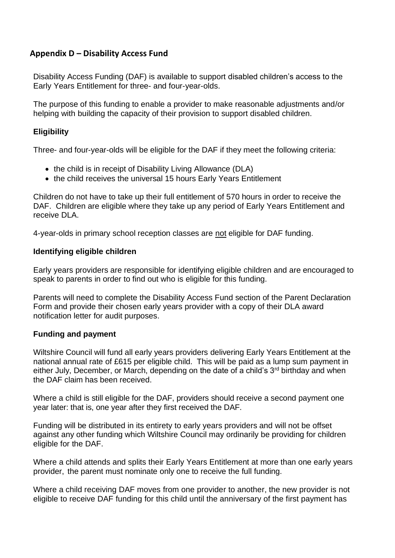## **Appendix D – Disability Access Fund**

Disability Access Funding (DAF) is available to support disabled children's access to the Early Years Entitlement for three- and four-year-olds.

The purpose of this funding to enable a provider to make reasonable adjustments and/or helping with building the capacity of their provision to support disabled children.

#### **Eligibility**

Three- and four-year-olds will be eligible for the DAF if they meet the following criteria:

- the child is in receipt of Disability Living Allowance (DLA)
- the child receives the universal 15 hours Early Years Entitlement

Children do not have to take up their full entitlement of 570 hours in order to receive the DAF. Children are eligible where they take up any period of Early Years Entitlement and receive DLA.

4-year-olds in primary school reception classes are not eligible for DAF funding.

#### **Identifying eligible children**

Early years providers are responsible for identifying eligible children and are encouraged to speak to parents in order to find out who is eligible for this funding.

Parents will need to complete the Disability Access Fund section of the Parent Declaration Form and provide their chosen early years provider with a copy of their DLA award notification letter for audit purposes.

#### **Funding and payment**

Wiltshire Council will fund all early years providers delivering Early Years Entitlement at the national annual rate of £615 per eligible child. This will be paid as a lump sum payment in either July, December, or March, depending on the date of a child's  $3<sup>rd</sup>$  birthday and when the DAF claim has been received.

Where a child is still eligible for the DAF, providers should receive a second payment one year later: that is, one year after they first received the DAF.

Funding will be distributed in its entirety to early years providers and will not be offset against any other funding which Wiltshire Council may ordinarily be providing for children eligible for the DAF.

Where a child attends and splits their Early Years Entitlement at more than one early years provider, the parent must nominate only one to receive the full funding.

Where a child receiving DAF moves from one provider to another, the new provider is not eligible to receive DAF funding for this child until the anniversary of the first payment has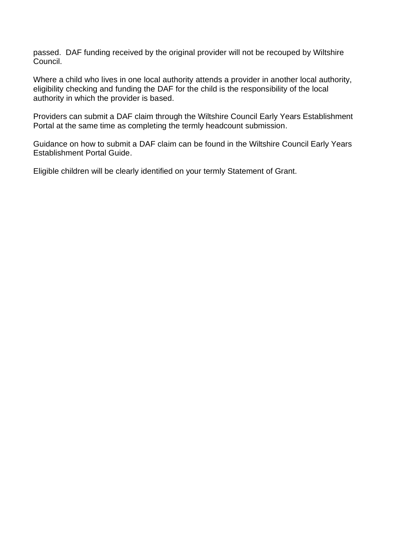passed. DAF funding received by the original provider will not be recouped by Wiltshire Council.

Where a child who lives in one local authority attends a provider in another local authority, eligibility checking and funding the DAF for the child is the responsibility of the local authority in which the provider is based.

Providers can submit a DAF claim through the Wiltshire Council Early Years Establishment Portal at the same time as completing the termly headcount submission.

Guidance on how to submit a DAF claim can be found in the Wiltshire Council Early Years Establishment Portal Guide.

Eligible children will be clearly identified on your termly Statement of Grant.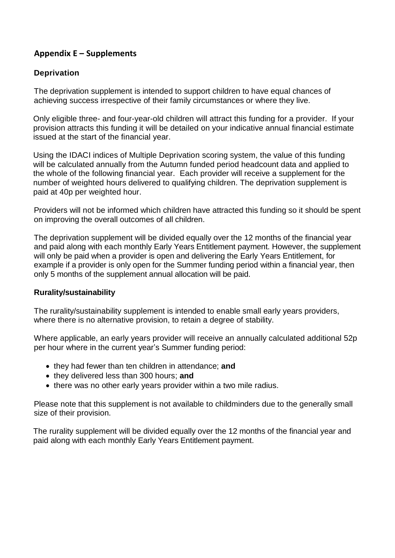## <span id="page-26-0"></span> **Appendix E – Supplements**

## **Deprivation**

The deprivation supplement is intended to support children to have equal chances of achieving success irrespective of their family circumstances or where they live.

Only eligible three- and four-year-old children will attract this funding for a provider. If your provision attracts this funding it will be detailed on your indicative annual financial estimate issued at the start of the financial year.

Using the IDACI indices of Multiple Deprivation scoring system, the value of this funding will be calculated annually from the Autumn funded period headcount data and applied to the whole of the following financial year. Each provider will receive a supplement for the number of weighted hours delivered to qualifying children. The deprivation supplement is paid at 40p per weighted hour.

Providers will not be informed which children have attracted this funding so it should be spent on improving the overall outcomes of all children.

The deprivation supplement will be divided equally over the 12 months of the financial year and paid along with each monthly Early Years Entitlement payment. However, the supplement will only be paid when a provider is open and delivering the Early Years Entitlement, for example if a provider is only open for the Summer funding period within a financial year, then only 5 months of the supplement annual allocation will be paid.

#### **Rurality/sustainability**

The rurality/sustainability supplement is intended to enable small early years providers, where there is no alternative provision, to retain a degree of stability.

Where applicable, an early years provider will receive an annually calculated additional 52p per hour where in the current year's Summer funding period:

- they had fewer than ten children in attendance; **and**
- they delivered less than 300 hours; **and**
- there was no other early vears provider within a two mile radius.

Please note that this supplement is not available to childminders due to the generally small size of their provision.

The rurality supplement will be divided equally over the 12 months of the financial year and paid along with each monthly Early Years Entitlement payment.